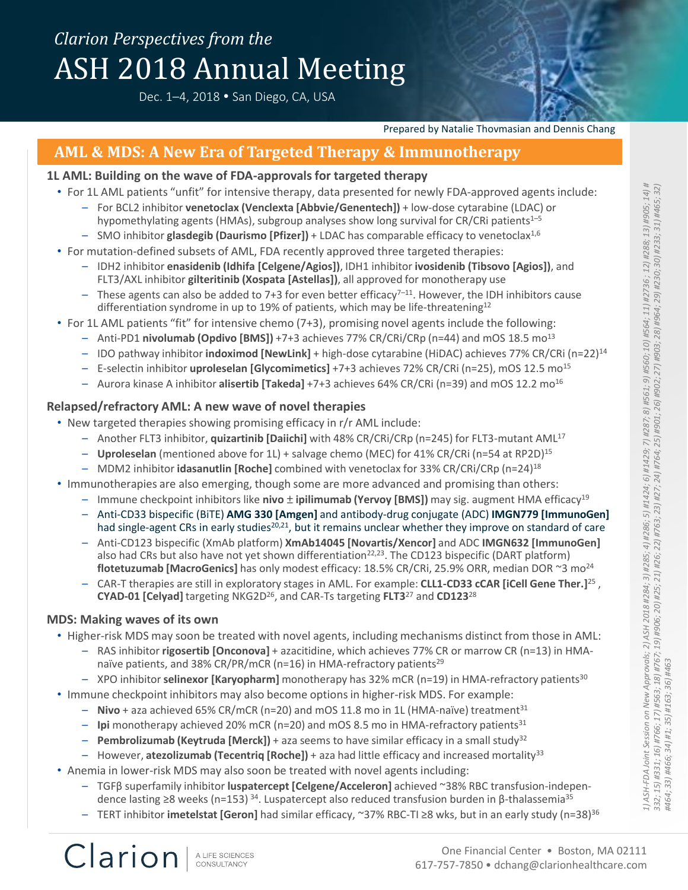# *Clarion Perspectives from the* ASH 2018 Annual Meeting

Dec. 1-4, 2018 • San Diego, CA, USA



## **AML & MDS: A New Era of Targeted Therapy & Immunotherapy**

#### **1L AML: Building on the wave of FDA-approvals for targeted therapy**

- For 1L AML patients "unfit" for intensive therapy, data presented for newly FDA-approved agents include:
	- For BCL2 inhibitor **venetoclax (Venclexta [Abbvie/Genentech])** + low-dose cytarabine (LDAC) or hypomethylating agents (HMAs), subgroup analyses show long survival for CR/CRi patients<sup>1-5</sup>
		- SMO inhibitor **glasdegib (Daurismo [Pfizer])** + LDAC has comparable efficacy to venetoclax1,6
- For mutation-defined subsets of AML, FDA recently approved three targeted therapies:
	- IDH2 inhibitor **enasidenib (Idhifa [Celgene/Agios])**, IDH1 inhibitor **ivosidenib (Tibsovo [Agios])**, and FLT3/AXL inhibitor **gilteritinib (Xospata [Astellas])**, all approved for monotherapy use
	- These agents can also be added to 7+3 for even better efficacy<sup>7-11</sup>. However, the IDH inhibitors cause differentiation syndrome in up to 19% of patients, which may be life-threatening<sup>12</sup>
- For 1L AML patients "fit" for intensive chemo (7+3), promising novel agents include the following:
	- Anti-PD1 **nivolumab (Opdivo [BMS])** +7+3 achieves 77% CR/CRi/CRp (n=44) and mOS 18.5 mo<sup>13</sup>
	- IDO pathway inhibitor **indoximod [NewLink]** + high-dose cytarabine (HiDAC) achieves 77% CR/CRi (n=22)<sup>14</sup>
	- E-selectin inhibitor **uproleselan [Glycomimetics]** +7+3 achieves 72% CR/CRi (n=25), mOS 12.5 mo<sup>15</sup>
	- Aurora kinase A inhibitor **alisertib [Takeda]** +7+3 achieves 64% CR/CRi (n=39) and mOS 12.2 mo<sup>16</sup>

#### **Relapsed/refractory AML: A new wave of novel therapies**

- New targeted therapies showing promising efficacy in r/r AML include:
	- Another FLT3 inhibitor, **quizartinib [Daiichi]** with 48% CR/CRi/CRp (n=245) for FLT3-mutant AML<sup>17</sup>
	- **Uproleselan** (mentioned above for 1L) + salvage chemo (MEC) for 41% CR/CRi (n=54 at RP2D)<sup>15</sup>
	- MDM2 inhibitor **idasanutlin [Roche]** combined with venetoclax for 33% CR/CRi/CRp (n=24)<sup>18</sup>
- Immunotherapies are also emerging, though some are more advanced and promising than others:
	- Immune checkpoint inhibitors like **nivo** ± **ipilimumab (Yervoy [BMS])** may sig. augment HMA efficacy<sup>19</sup>
	- Anti-CD33 bispecific (BiTE) **AMG 330 [Amgen]** and antibody-drug conjugate (ADC) **IMGN779 [ImmunoGen]** had single-agent CRs in early studies<sup>20,21</sup>, but it remains unclear whether they improve on standard of care
	- Anti-CD123 bispecific (XmAb platform) **XmAb14045 [Novartis/Xencor]** and ADC **IMGN632 [ImmunoGen]** also had CRs but also have not yet shown differentiation<sup>22,23</sup>. The CD123 bispecific (DART platform) **flotetuzumab [MacroGenics]** has only modest efficacy: 18.5% CR/CRi, 25.9% ORR, median DOR ~3 mo<sup>24</sup>
	- CAR-T therapies are still in exploratory stages in AML. For example: **CLL1-CD33 cCAR [iCell Gene Ther.]**<sup>25</sup> , **CYAD-01 [Celyad]** targeting NKG2D<sup>26</sup>, and CAR-Ts targeting **FLT3**<sup>27</sup> and **CD123**<sup>28</sup>

#### **MDS: Making waves of its own**

Clarion

- Higher-risk MDS may soon be treated with novel agents, including mechanisms distinct from those in AML:
	- RAS inhibitor **rigosertib [Onconova]** + azacitidine, which achieves 77% CR or marrow CR (n=13) in HMAnaïve patients, and 38% CR/PR/mCR (n=16) in HMA-refractory patients<sup>29</sup>
	- XPO inhibitor **selinexor [Karyopharm]** monotherapy has 32% mCR (n=19) in HMA-refractory patients<sup>30</sup>
- Immune checkpoint inhibitors may also become options in higher-risk MDS. For example:
	- **Nivo** + aza achieved 65% CR/mCR (n=20) and mOS 11.8 mo in 1L (HMA-naïve) treatment<sup>31</sup>
	- **Ipi** monotherapy achieved 20% mCR (n=20) and mOS 8.5 mo in HMA-refractory patients<sup>31</sup>
	- **Pembrolizumab (Keytruda [Merck])** + aza seems to have similar efficacy in a small study<sup>32</sup>
	- However, **atezolizumab (Tecentriq [Roche])** + aza had little efficacy and increased mortality<sup>33</sup>
- Anemia in lower-risk MDS may also soon be treated with novel agents including:
	- TGFβ superfamily inhibitor **luspatercept [Celgene/Acceleron]** achieved ~38% RBC transfusion-independence lasting ≥8 weeks (n=153) <sup>34</sup>. Luspatercept also reduced transfusion burden in β-thalassemia<sup>35</sup>
	- TERT inhibitor **imetelstat [Geron]** had similar efficacy, ~37% RBC-TI ≥8 wks, but in an early study (n=38)<sup>36</sup>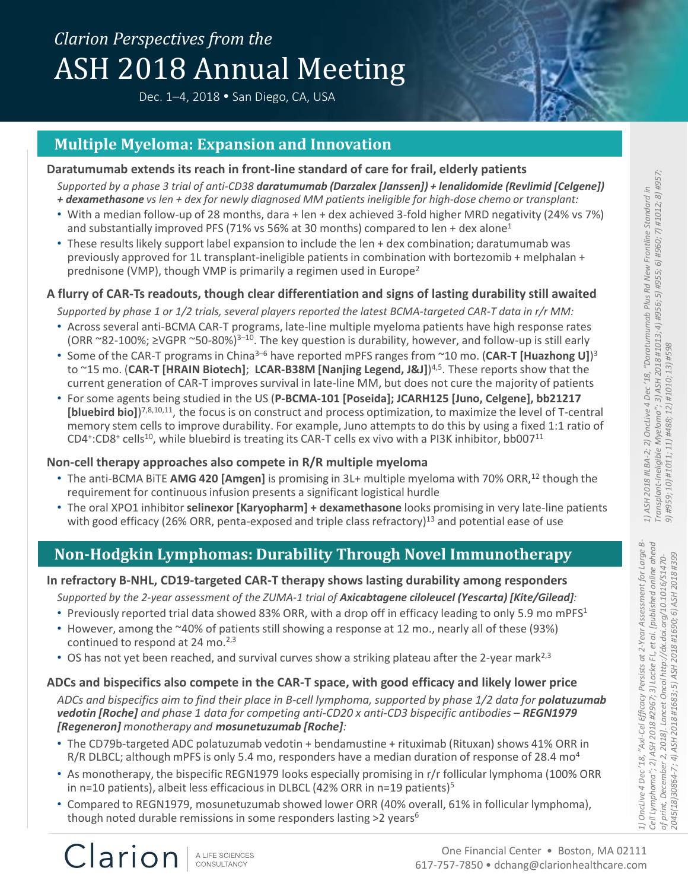# *Clarion Perspectives from the* ASH 2018 Annual Meeting

Dec. 1-4, 2018 . San Diego, CA, USA



### **Multiple Myeloma: Expansion and Innovation**

#### **Daratumumab extends its reach in front-line standard of care for frail, elderly patients**

*Supported by a phase 3 trial of anti-CD38 daratumumab (Darzalex [Janssen]) + lenalidomide (Revlimid [Celgene]) + dexamethasone vs len + dex for newly diagnosed MM patients ineligible for high-dose chemo or transplant:*

- With a median follow-up of 28 months, dara + len + dex achieved 3-fold higher MRD negativity (24% vs 7%) and substantially improved PFS (71% vs 56% at 30 months) compared to len + dex alone<sup>1</sup>
- These results likely support label expansion to include the len + dex combination; daratumumab was previously approved for 1L transplant-ineligible patients in combination with bortezomib + melphalan + prednisone (VMP), though VMP is primarily a regimen used in Europe<sup>2</sup>

#### **A flurry of CAR-Ts readouts, though clear differentiation and signs of lasting durability still awaited**

*Supported by phase 1 or 1/2 trials, several players reported the latest BCMA-targeted CAR-T data in r/r MM:*

- Across several anti-BCMA CAR-T programs, late-line multiple myeloma patients have high response rates (ORR ~82-100%; ≥VGPR ~50-80%)<sup>3-10</sup>. The key question is durability, however, and follow-up is still early
- Some of the CAR-T programs in China<sup>3-6</sup> have reported mPFS ranges from ~10 mo. (CAR-T [Huazhong U])<sup>3</sup> to ~15 mo. (**CAR-T [HRAIN Biotech]**; **LCAR-B38M [Nanjing Legend, J&J]**) 4,5. These reports show that the current generation of CAR-T improves survival in late-line MM, but does not cure the majority of patients
- For some agents being studied in the US (**P-BCMA-101 [Poseida]; JCARH125 [Juno, Celgene], bb21217**  [bluebird bio])<sup>7,8,10,11</sup>, the focus is on construct and process optimization, to maximize the level of T-central memory stem cells to improve durability. For example, Juno attempts to do this by using a fixed 1:1 ratio of CD4<sup>+</sup>:CD8<sup>+</sup> cells<sup>10</sup>, while bluebird is treating its CAR-T cells ex vivo with a PI3K inhibitor, bb007<sup>11</sup>

#### **Non-cell therapy approaches also compete in R/R multiple myeloma**

- The anti-BCMA BITE **AMG 420 [Amgen]** is promising in 3L+ multiple myeloma with 70% ORR,<sup>12</sup> though the requirement for continuous infusion presents a significant logistical hurdle
- The oral XPO1 inhibitor **selinexor [Karyopharm] + dexamethasone** looks promising in very late-line patients with good efficacy (26% ORR, penta-exposed and triple class refractory)<sup>13</sup> and potential ease of use

# **Non-Hodgkin Lymphomas: Durability Through Novel Immunotherapy**

#### **In refractory B-NHL, CD19-targeted CAR-T therapy shows lasting durability among responders**

Supported by the 2-year assessment of the ZUMA-1 trial of **Axicabtagene ciloleucel (Yescarta) [Kite/Gilead]***:* 

- Previously reported trial data showed 83% ORR, with a drop off in efficacy leading to only 5.9 mo mPFS<sup>1</sup>
- However, among the ~40% of patients still showing a response at 12 mo., nearly all of these (93%) continued to respond at 24 mo. $2,3$
- OS has not yet been reached, and survival curves show a striking plateau after the 2-year mark<sup>2,3</sup>

#### **ADCs and bispecifics also compete in the CAR-T space, with good efficacy and likely lower price**

*ADCs and bispecifics aim to find their place in B-cell lymphoma, supported by phase 1/2 data for polatuzumab vedotin [Roche] and phase 1 data for competing anti-CD20 x anti-CD3 bispecific antibodies – REGN1979 [Regeneron] monotherapy and mosunetuzumab [Roche]:*

- The CD79b-targeted ADC polatuzumab vedotin + bendamustine + rituximab (Rituxan) shows 41% ORR in R/R DLBCL; although mPFS is only 5.4 mo, responders have a median duration of response of 28.4 mo<sup>4</sup>
- As monotherapy, the bispecific REGN1979 looks especially promising in r/r follicular lymphoma (100% ORR in n=10 patients), albeit less efficacious in DLBCL (42% ORR in n=19 patients)<sup>5</sup>
- Compared to REGN1979, mosunetuzumab showed lower ORR (40% overall, 61% in follicular lymphoma), though noted durable remissions in some responders lasting  $>2$  years<sup>6</sup>